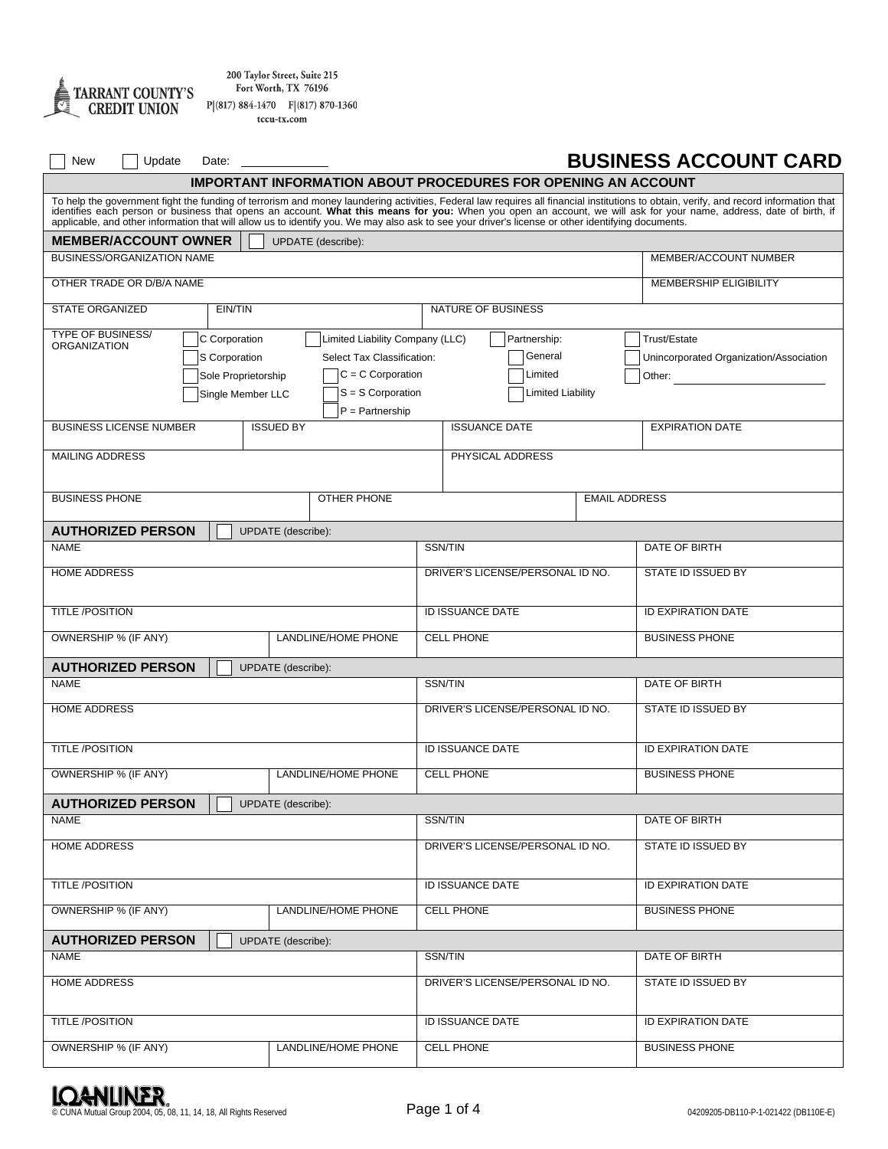

200 Taylor Street, Suite 215 Fort Worth, TX 76196  $P[(817) 884-1470 F](817) 870-1360$ 

| tccu-tx.com |  |  |
|-------------|--|--|
|             |  |  |

| New<br>Update                                                                                                                                                                                                                 | Date: |                    |                                  |                                  |                                  |              |                                         | <b>BUSINESS ACCOUNT CARD</b>  |  |
|-------------------------------------------------------------------------------------------------------------------------------------------------------------------------------------------------------------------------------|-------|--------------------|----------------------------------|----------------------------------|----------------------------------|--------------|-----------------------------------------|-------------------------------|--|
| <b>IMPORTANT INFORMATION ABOUT PROCEDURES FOR OPENING AN ACCOUNT</b>                                                                                                                                                          |       |                    |                                  |                                  |                                  |              |                                         |                               |  |
| To help the government fight the funding of terrorism and money laundering activities, Federal law requires all financial institutions to obtain, verify, and record information that identifies each person or business that |       |                    |                                  |                                  |                                  |              |                                         |                               |  |
| <b>MEMBER/ACCOUNT OWNER</b><br>UPDATE (describe):                                                                                                                                                                             |       |                    |                                  |                                  |                                  |              |                                         |                               |  |
| <b>BUSINESS/ORGANIZATION NAME</b>                                                                                                                                                                                             |       |                    |                                  |                                  |                                  |              |                                         | MEMBER/ACCOUNT NUMBER         |  |
| OTHER TRADE OR D/B/A NAME                                                                                                                                                                                                     |       |                    |                                  |                                  |                                  |              |                                         | <b>MEMBERSHIP ELIGIBILITY</b> |  |
| <b>STATE ORGANIZED</b><br>EIN/TIN<br><b>NATURE OF BUSINESS</b>                                                                                                                                                                |       |                    |                                  |                                  |                                  |              |                                         |                               |  |
| <b>TYPE OF BUSINESS/</b><br>Limited Liability Company (LLC)<br>C Corporation                                                                                                                                                  |       |                    |                                  |                                  |                                  | Partnership: |                                         | Trust/Estate                  |  |
| <b>ORGANIZATION</b><br>S Corporation<br>Select Tax Classification:                                                                                                                                                            |       |                    |                                  |                                  | General                          |              | Unincorporated Organization/Association |                               |  |
| Sole Proprietorship                                                                                                                                                                                                           |       |                    | $C = C$ Corporation              |                                  |                                  | Limited      |                                         | Other:                        |  |
| $S = S$ Corporation<br>Single Member LLC<br>$P =$ Partnership                                                                                                                                                                 |       |                    |                                  |                                  | Limited Liability                |              |                                         |                               |  |
| <b>BUSINESS LICENSE NUMBER</b>                                                                                                                                                                                                |       | <b>ISSUED BY</b>   |                                  |                                  | <b>ISSUANCE DATE</b>             |              |                                         | <b>EXPIRATION DATE</b>        |  |
| <b>MAILING ADDRESS</b>                                                                                                                                                                                                        |       |                    |                                  |                                  | PHYSICAL ADDRESS                 |              |                                         |                               |  |
|                                                                                                                                                                                                                               |       |                    |                                  |                                  |                                  |              |                                         |                               |  |
| <b>BUSINESS PHONE</b>                                                                                                                                                                                                         |       |                    | <b>OTHER PHONE</b>               |                                  |                                  |              | <b>EMAIL ADDRESS</b>                    |                               |  |
| <b>AUTHORIZED PERSON</b>                                                                                                                                                                                                      |       | UPDATE (describe): |                                  |                                  |                                  |              |                                         |                               |  |
| <b>NAME</b>                                                                                                                                                                                                                   |       |                    |                                  | SSN/TIN                          |                                  |              |                                         | DATE OF BIRTH                 |  |
| <b>HOME ADDRESS</b>                                                                                                                                                                                                           |       |                    | DRIVER'S LICENSE/PERSONAL ID NO. |                                  |                                  |              | STATE ID ISSUED BY                      |                               |  |
| <b>TITLE /POSITION</b>                                                                                                                                                                                                        |       |                    |                                  | <b>ID ISSUANCE DATE</b>          |                                  |              |                                         | <b>ID EXPIRATION DATE</b>     |  |
| OWNERSHIP % (IF ANY)<br><b>LANDLINE/HOME PHONE</b>                                                                                                                                                                            |       |                    |                                  | <b>CELL PHONE</b>                |                                  |              | <b>BUSINESS PHONE</b>                   |                               |  |
| <b>AUTHORIZED PERSON</b><br><b>UPDATE</b> (describe):                                                                                                                                                                         |       |                    |                                  |                                  |                                  |              |                                         |                               |  |
| <b>NAME</b>                                                                                                                                                                                                                   |       |                    |                                  | SSN/TIN                          |                                  |              | DATE OF BIRTH                           |                               |  |
| <b>HOME ADDRESS</b>                                                                                                                                                                                                           |       |                    |                                  | DRIVER'S LICENSE/PERSONAL ID NO. |                                  |              |                                         | STATE ID ISSUED BY            |  |
| <b>TITLE /POSITION</b>                                                                                                                                                                                                        |       |                    |                                  | ID ISSUANCE DATE                 |                                  |              |                                         | <b>ID EXPIRATION DATE</b>     |  |
| OWNERSHIP % (IF ANY)                                                                                                                                                                                                          |       |                    | LANDLINE/HOME PHONE              | <b>CELL PHONE</b>                |                                  |              |                                         | <b>BUSINESS PHONE</b>         |  |
|                                                                                                                                                                                                                               |       |                    |                                  |                                  |                                  |              |                                         |                               |  |
| <b>AUTHORIZED PERSON</b><br><b>NAME</b>                                                                                                                                                                                       |       | UPDATE (describe): |                                  |                                  | SSN/TIN                          |              |                                         | DATE OF BIRTH                 |  |
|                                                                                                                                                                                                                               |       |                    |                                  |                                  |                                  |              |                                         |                               |  |
| <b>HOME ADDRESS</b>                                                                                                                                                                                                           |       |                    |                                  | DRIVER'S LICENSE/PERSONAL ID NO. |                                  |              |                                         | <b>STATE ID ISSUED BY</b>     |  |
| <b>TITLE /POSITION</b>                                                                                                                                                                                                        |       |                    |                                  | ID ISSUANCE DATE                 |                                  |              | <b>ID EXPIRATION DATE</b>               |                               |  |
| OWNERSHIP % (IF ANY)                                                                                                                                                                                                          |       |                    | LANDLINE/HOME PHONE              |                                  | <b>CELL PHONE</b>                |              |                                         | <b>BUSINESS PHONE</b>         |  |
| <b>AUTHORIZED PERSON</b>                                                                                                                                                                                                      |       | UPDATE (describe): |                                  |                                  |                                  |              |                                         |                               |  |
| <b>NAME</b>                                                                                                                                                                                                                   |       |                    |                                  | SSN/TIN                          |                                  |              | DATE OF BIRTH                           |                               |  |
| <b>HOME ADDRESS</b>                                                                                                                                                                                                           |       |                    |                                  |                                  | DRIVER'S LICENSE/PERSONAL ID NO. |              |                                         | STATE ID ISSUED BY            |  |
| <b>TITLE /POSITION</b>                                                                                                                                                                                                        |       |                    |                                  |                                  | ID ISSUANCE DATE                 |              |                                         | <b>ID EXPIRATION DATE</b>     |  |
| OWNERSHIP % (IF ANY)<br>LANDLINE/HOME PHONE                                                                                                                                                                                   |       |                    |                                  | <b>CELL PHONE</b>                |                                  |              | <b>BUSINESS PHONE</b>                   |                               |  |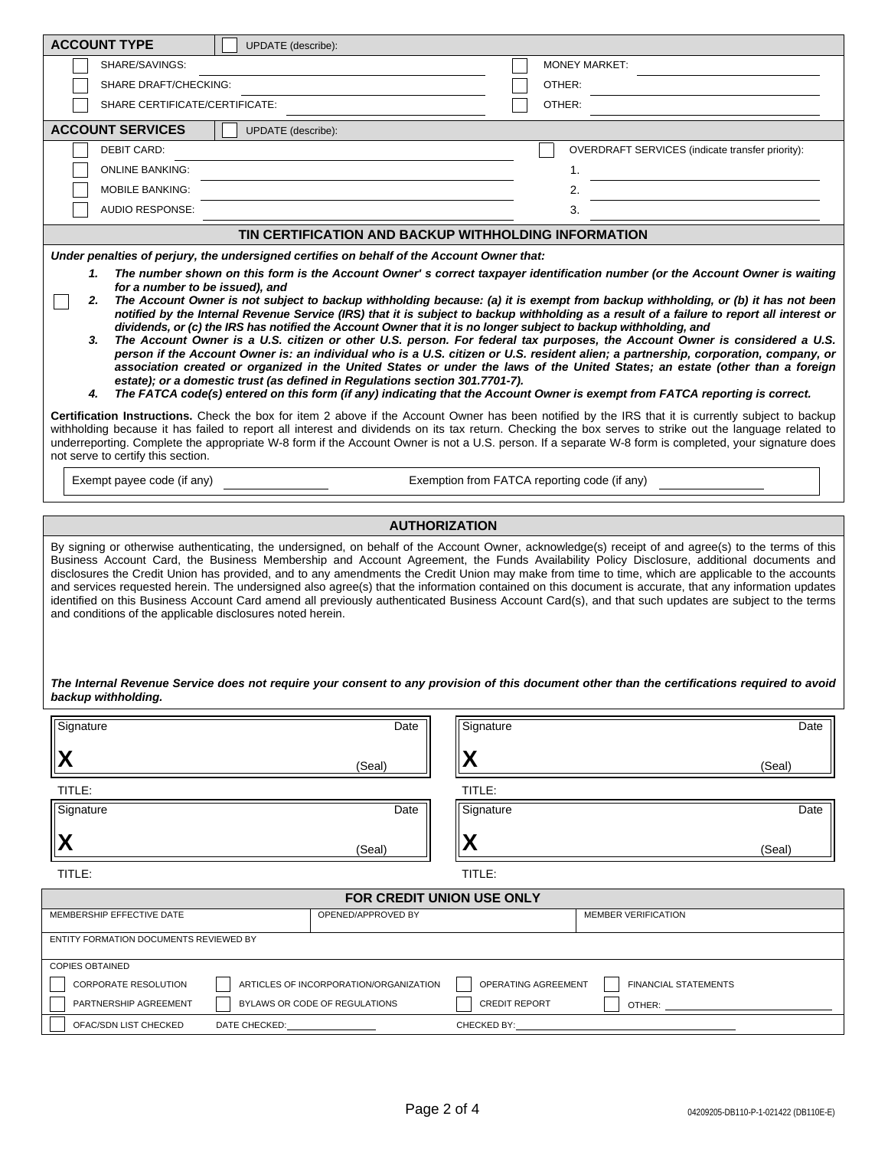| <b>ACCOUNT TYPE</b><br>UPDATE (describe):                                                                                                                                                                                                                                                                                                                                                                                                                                                                                                                                                                                                                                                                                                                                                                                                                                                                                                                                                                                                                                                                                                                                                                                                                                                                                                                                                                                                                                                       |                                                                                                                                              |  |  |  |  |
|-------------------------------------------------------------------------------------------------------------------------------------------------------------------------------------------------------------------------------------------------------------------------------------------------------------------------------------------------------------------------------------------------------------------------------------------------------------------------------------------------------------------------------------------------------------------------------------------------------------------------------------------------------------------------------------------------------------------------------------------------------------------------------------------------------------------------------------------------------------------------------------------------------------------------------------------------------------------------------------------------------------------------------------------------------------------------------------------------------------------------------------------------------------------------------------------------------------------------------------------------------------------------------------------------------------------------------------------------------------------------------------------------------------------------------------------------------------------------------------------------|----------------------------------------------------------------------------------------------------------------------------------------------|--|--|--|--|
| SHARE/SAVINGS:                                                                                                                                                                                                                                                                                                                                                                                                                                                                                                                                                                                                                                                                                                                                                                                                                                                                                                                                                                                                                                                                                                                                                                                                                                                                                                                                                                                                                                                                                  | <b>MONEY MARKET:</b>                                                                                                                         |  |  |  |  |
| <b>SHARE DRAFT/CHECKING:</b>                                                                                                                                                                                                                                                                                                                                                                                                                                                                                                                                                                                                                                                                                                                                                                                                                                                                                                                                                                                                                                                                                                                                                                                                                                                                                                                                                                                                                                                                    | OTHER:                                                                                                                                       |  |  |  |  |
| SHARE CERTIFICATE/CERTIFICATE:                                                                                                                                                                                                                                                                                                                                                                                                                                                                                                                                                                                                                                                                                                                                                                                                                                                                                                                                                                                                                                                                                                                                                                                                                                                                                                                                                                                                                                                                  | OTHER:                                                                                                                                       |  |  |  |  |
| <b>ACCOUNT SERVICES</b><br>UPDATE (describe):                                                                                                                                                                                                                                                                                                                                                                                                                                                                                                                                                                                                                                                                                                                                                                                                                                                                                                                                                                                                                                                                                                                                                                                                                                                                                                                                                                                                                                                   |                                                                                                                                              |  |  |  |  |
| <b>DEBIT CARD:</b>                                                                                                                                                                                                                                                                                                                                                                                                                                                                                                                                                                                                                                                                                                                                                                                                                                                                                                                                                                                                                                                                                                                                                                                                                                                                                                                                                                                                                                                                              | OVERDRAFT SERVICES (indicate transfer priority):                                                                                             |  |  |  |  |
| <b>ONLINE BANKING:</b>                                                                                                                                                                                                                                                                                                                                                                                                                                                                                                                                                                                                                                                                                                                                                                                                                                                                                                                                                                                                                                                                                                                                                                                                                                                                                                                                                                                                                                                                          | 1.                                                                                                                                           |  |  |  |  |
| <b>MOBILE BANKING:</b>                                                                                                                                                                                                                                                                                                                                                                                                                                                                                                                                                                                                                                                                                                                                                                                                                                                                                                                                                                                                                                                                                                                                                                                                                                                                                                                                                                                                                                                                          | 2.                                                                                                                                           |  |  |  |  |
| AUDIO RESPONSE:                                                                                                                                                                                                                                                                                                                                                                                                                                                                                                                                                                                                                                                                                                                                                                                                                                                                                                                                                                                                                                                                                                                                                                                                                                                                                                                                                                                                                                                                                 | 3.                                                                                                                                           |  |  |  |  |
|                                                                                                                                                                                                                                                                                                                                                                                                                                                                                                                                                                                                                                                                                                                                                                                                                                                                                                                                                                                                                                                                                                                                                                                                                                                                                                                                                                                                                                                                                                 | TIN CERTIFICATION AND BACKUP WITHHOLDING INFORMATION                                                                                         |  |  |  |  |
| Under penalties of perjury, the undersigned certifies on behalf of the Account Owner that:                                                                                                                                                                                                                                                                                                                                                                                                                                                                                                                                                                                                                                                                                                                                                                                                                                                                                                                                                                                                                                                                                                                                                                                                                                                                                                                                                                                                      |                                                                                                                                              |  |  |  |  |
| notified by the Internal Revenue Service (IRS) that it is subject to backup withholding as a result of a failure to report all interest or<br>dividends, or (c) the IRS has notified the Account Owner that it is no longer subject to backup withholding, and<br>The Account Owner is a U.S. citizen or other U.S. person. For federal tax purposes, the Account Owner is considered a U.S.<br>3.<br>person if the Account Owner is: an individual who is a U.S. citizen or U.S. resident alien; a partnership, corporation, company, or<br>association created or organized in the United States or under the laws of the United States; an estate (other than a foreign<br>estate); or a domestic trust (as defined in Regulations section 301.7701-7).<br>The FATCA code(s) entered on this form (if any) indicating that the Account Owner is exempt from FATCA reporting is correct.<br>4.<br>Certification Instructions. Check the box for item 2 above if the Account Owner has been notified by the IRS that it is currently subject to backup<br>withholding because it has failed to report all interest and dividends on its tax return. Checking the box serves to strike out the language related to<br>underreporting. Complete the appropriate W-8 form if the Account Owner is not a U.S. person. If a separate W-8 form is completed, your signature does<br>not serve to certify this section.<br>Exemption from FATCA reporting code (if any)<br>Exempt payee code (if any) |                                                                                                                                              |  |  |  |  |
|                                                                                                                                                                                                                                                                                                                                                                                                                                                                                                                                                                                                                                                                                                                                                                                                                                                                                                                                                                                                                                                                                                                                                                                                                                                                                                                                                                                                                                                                                                 | <b>AUTHORIZATION</b>                                                                                                                         |  |  |  |  |
| By signing or otherwise authenticating, the undersigned, on behalf of the Account Owner, acknowledge(s) receipt of and agree(s) to the terms of this<br>Business Account Card, the Business Membership and Account Agreement, the Funds Availability Policy Disclosure, additional documents and<br>disclosures the Credit Union has provided, and to any amendments the Credit Union may make from time to time, which are applicable to the accounts<br>and services requested herein. The undersigned also agree(s) that the information contained on this document is accurate, that any information updates<br>identified on this Business Account Card amend all previously authenticated Business Account Card(s), and that such updates are subject to the terms<br>and conditions of the applicable disclosures noted herein.                                                                                                                                                                                                                                                                                                                                                                                                                                                                                                                                                                                                                                                          |                                                                                                                                              |  |  |  |  |
|                                                                                                                                                                                                                                                                                                                                                                                                                                                                                                                                                                                                                                                                                                                                                                                                                                                                                                                                                                                                                                                                                                                                                                                                                                                                                                                                                                                                                                                                                                 | The Internal Revenue Service does not require your consent to any provision of this document other than the certifications required to avoid |  |  |  |  |

| Signature                              | Date                                   | Signature                                          | Date   |
|----------------------------------------|----------------------------------------|----------------------------------------------------|--------|
| X                                      | (Seal)                                 | Y                                                  | (Seal) |
| TITLE:                                 |                                        | TITLE:                                             |        |
| Signature                              | Date                                   | Signature                                          | Date   |
| X                                      | (Seal)                                 | X                                                  | (Seal) |
| TITLE:                                 |                                        | TITLE:                                             |        |
|                                        |                                        | <b>FOR CREDIT UNION USE ONLY</b>                   |        |
| MEMBERSHIP EFFECTIVE DATE              | OPENED/APPROVED BY                     | <b>MEMBER VERIFICATION</b>                         |        |
| ENTITY FORMATION DOCUMENTS REVIEWED BY |                                        |                                                    |        |
| <b>COPIES OBTAINED</b>                 |                                        |                                                    |        |
| <b>CORPORATE RESOLUTION</b>            | ARTICLES OF INCORPORATION/ORGANIZATION | OPERATING AGREEMENT<br><b>FINANCIAL STATEMENTS</b> |        |
| PARTNERSHIP AGREEMENT                  | BYLAWS OR CODE OF REGULATIONS          | <b>CREDIT REPORT</b><br>OTHER:                     |        |
| OFAC/SDN LIST CHECKED<br>DATE CHECKED: |                                        | CHECKED BY:                                        |        |

*backup withholding.*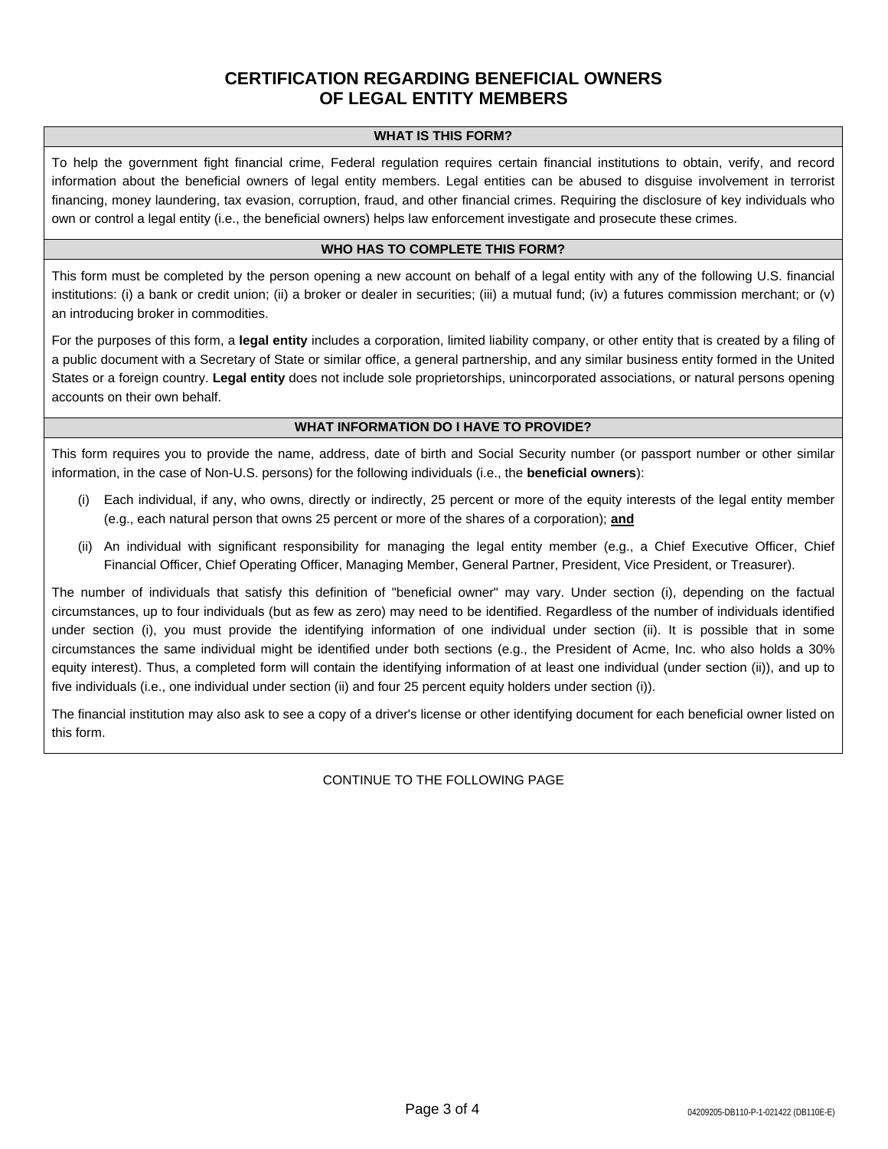# **CERTIFICATION REGARDING BENEFICIAL OWNERS OF LEGAL ENTITY MEMBERS**

#### **WHAT IS THIS FORM?**

To help the government fight financial crime, Federal regulation requires certain financial institutions to obtain, verify, and record information about the beneficial owners of legal entity members. Legal entities can be abused to disguise involvement in terrorist financing, money laundering, tax evasion, corruption, fraud, and other financial crimes. Requiring the disclosure of key individuals who own or control a legal entity (i.e., the beneficial owners) helps law enforcement investigate and prosecute these crimes.

#### **WHO HAS TO COMPLETE THIS FORM?**

This form must be completed by the person opening a new account on behalf of a legal entity with any of the following U.S. financial institutions: (i) a bank or credit union; (ii) a broker or dealer in securities; (iii) a mutual fund; (iv) a futures commission merchant; or (v) an introducing broker in commodities.

For the purposes of this form, a **legal entity** includes a corporation, limited liability company, or other entity that is created by a filing of a public document with a Secretary of State or similar office, a general partnership, and any similar business entity formed in the United States or a foreign country. **Legal entity** does not include sole proprietorships, unincorporated associations, or natural persons opening accounts on their own behalf.

#### **WHAT INFORMATION DO I HAVE TO PROVIDE?**

This form requires you to provide the name, address, date of birth and Social Security number (or passport number or other similar information, in the case of Non-U.S. persons) for the following individuals (i.e., the **beneficial owners**):

- Each individual, if any, who owns, directly or indirectly, 25 percent or more of the equity interests of the legal entity member (e.g., each natural person that owns 25 percent or more of the shares of a corporation); **and**
- (ii) An individual with significant responsibility for managing the legal entity member (e.g., a Chief Executive Officer, Chief Financial Officer, Chief Operating Officer, Managing Member, General Partner, President, Vice President, or Treasurer).

The number of individuals that satisfy this definition of "beneficial owner" may vary. Under section (i), depending on the factual circumstances, up to four individuals (but as few as zero) may need to be identified. Regardless of the number of individuals identified under section (i), you must provide the identifying information of one individual under section (ii). It is possible that in some circumstances the same individual might be identified under both sections (e.g., the President of Acme, Inc. who also holds a 30% equity interest). Thus, a completed form will contain the identifying information of at least one individual (under section (ii)), and up to five individuals (i.e., one individual under section (ii) and four 25 percent equity holders under section (i)).

The financial institution may also ask to see a copy of a driver's license or other identifying document for each beneficial owner listed on this form.

## CONTINUE TO THE FOLLOWING PAGE